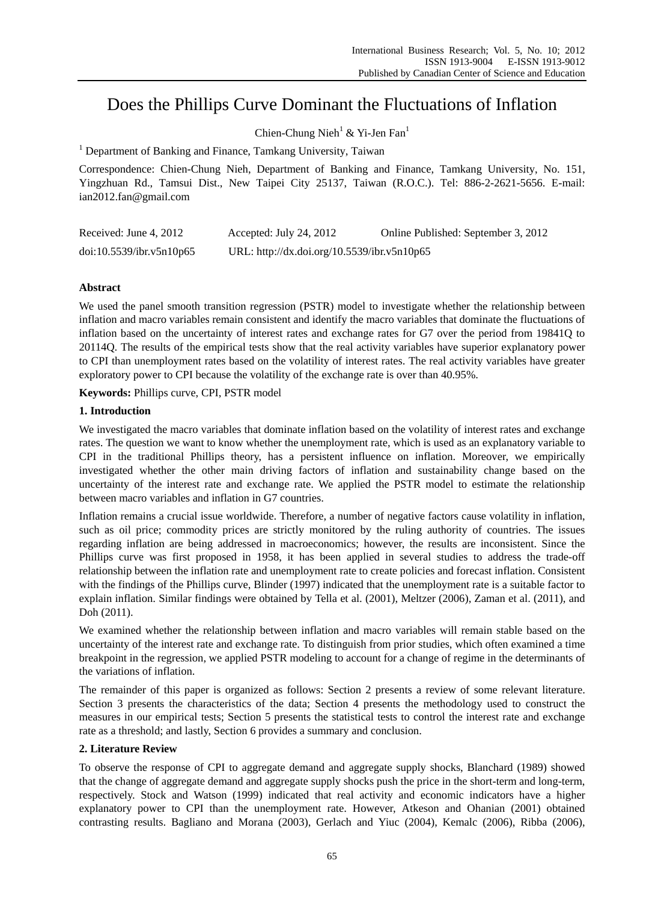# Does the Phillips Curve Dominant the Fluctuations of Inflation

Chien-Chung Nieh<sup>1</sup> & Yi-Jen Fan<sup>1</sup>

<sup>1</sup> Department of Banking and Finance, Tamkang University, Taiwan

Correspondence: Chien-Chung Nieh, Department of Banking and Finance, Tamkang University, No. 151, Yingzhuan Rd., Tamsui Dist., New Taipei City 25137, Taiwan (R.O.C.). Tel: 886-2-2621-5656. E-mail: ian2012.fan@gmail.com

| Received: June 4, 2012   | Accepted: July 24, 2012                     | Online Published: September 3, 2012 |
|--------------------------|---------------------------------------------|-------------------------------------|
| doi:10.5539/ibr.v5n10p65 | URL: http://dx.doi.org/10.5539/ibr.v5n10p65 |                                     |

# **Abstract**

We used the panel smooth transition regression (PSTR) model to investigate whether the relationship between inflation and macro variables remain consistent and identify the macro variables that dominate the fluctuations of inflation based on the uncertainty of interest rates and exchange rates for G7 over the period from 19841Q to 20114Q. The results of the empirical tests show that the real activity variables have superior explanatory power to CPI than unemployment rates based on the volatility of interest rates. The real activity variables have greater exploratory power to CPI because the volatility of the exchange rate is over than 40.95%.

**Keywords:** Phillips curve, CPI, PSTR model

# **1. Introduction**

We investigated the macro variables that dominate inflation based on the volatility of interest rates and exchange rates. The question we want to know whether the unemployment rate, which is used as an explanatory variable to CPI in the traditional Phillips theory, has a persistent influence on inflation. Moreover, we empirically investigated whether the other main driving factors of inflation and sustainability change based on the uncertainty of the interest rate and exchange rate. We applied the PSTR model to estimate the relationship between macro variables and inflation in G7 countries.

Inflation remains a crucial issue worldwide. Therefore, a number of negative factors cause volatility in inflation, such as oil price; commodity prices are strictly monitored by the ruling authority of countries. The issues regarding inflation are being addressed in macroeconomics; however, the results are inconsistent. Since the Phillips curve was first proposed in 1958, it has been applied in several studies to address the trade-off relationship between the inflation rate and unemployment rate to create policies and forecast inflation. Consistent with the findings of the Phillips curve, Blinder (1997) indicated that the unemployment rate is a suitable factor to explain inflation. Similar findings were obtained by Tella et al. (2001), Meltzer (2006), Zaman et al. (2011), and Doh (2011).

We examined whether the relationship between inflation and macro variables will remain stable based on the uncertainty of the interest rate and exchange rate. To distinguish from prior studies, which often examined a time breakpoint in the regression, we applied PSTR modeling to account for a change of regime in the determinants of the variations of inflation.

The remainder of this paper is organized as follows: Section 2 presents a review of some relevant literature. Section 3 presents the characteristics of the data; Section 4 presents the methodology used to construct the measures in our empirical tests; Section 5 presents the statistical tests to control the interest rate and exchange rate as a threshold; and lastly, Section 6 provides a summary and conclusion.

# **2. Literature Review**

To observe the response of CPI to aggregate demand and aggregate supply shocks, Blanchard (1989) showed that the change of aggregate demand and aggregate supply shocks push the price in the short-term and long-term, respectively. Stock and Watson (1999) indicated that real activity and economic indicators have a higher explanatory power to CPI than the unemployment rate. However, Atkeson and Ohanian (2001) obtained contrasting results. Bagliano and Morana (2003), Gerlach and Yiuc (2004), Kemalc (2006), Ribba (2006),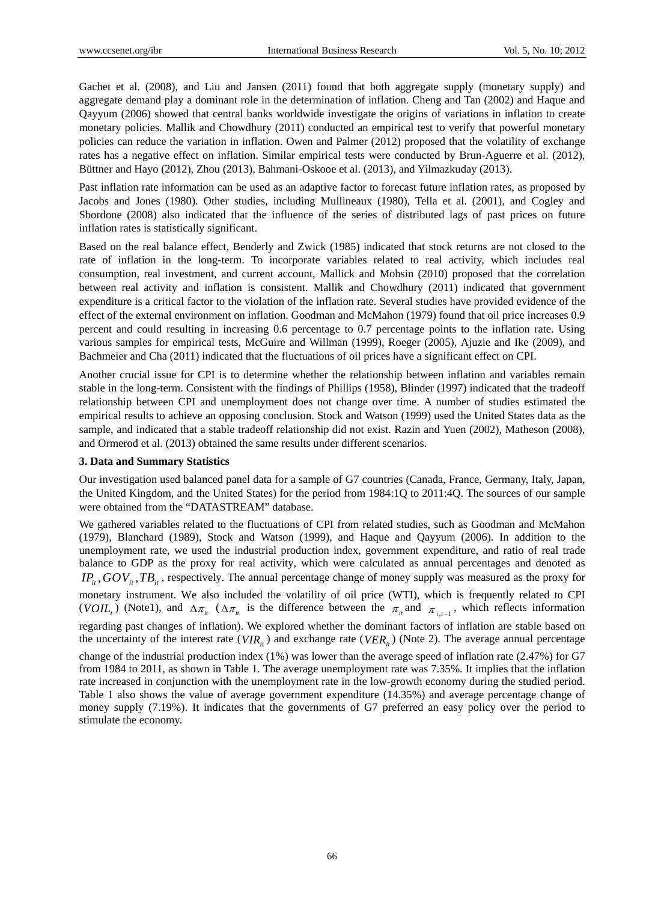Gachet et al. (2008), and Liu and Jansen (2011) found that both aggregate supply (monetary supply) and aggregate demand play a dominant role in the determination of inflation. Cheng and Tan (2002) and Haque and Qayyum (2006) showed that central banks worldwide investigate the origins of variations in inflation to create monetary policies. Mallik and Chowdhury (2011) conducted an empirical test to verify that powerful monetary policies can reduce the variation in inflation. Owen and Palmer (2012) proposed that the volatility of exchange rates has a negative effect on inflation. Similar empirical tests were conducted by Brun-Aguerre et al. (2012), Büttner and Hayo (2012), Zhou (2013), Bahmani-Oskooe et al. (2013), and Yilmazkuday (2013).

Past inflation rate information can be used as an adaptive factor to forecast future inflation rates, as proposed by Jacobs and Jones (1980). Other studies, including Mullineaux (1980), Tella et al. (2001), and Cogley and Sbordone (2008) also indicated that the influence of the series of distributed lags of past prices on future inflation rates is statistically significant.

Based on the real balance effect, Benderly and Zwick (1985) indicated that stock returns are not closed to the rate of inflation in the long-term. To incorporate variables related to real activity, which includes real consumption, real investment, and current account, Mallick and Mohsin (2010) proposed that the correlation between real activity and inflation is consistent. Mallik and Chowdhury (2011) indicated that government expenditure is a critical factor to the violation of the inflation rate. Several studies have provided evidence of the effect of the external environment on inflation. Goodman and McMahon (1979) found that oil price increases 0.9 percent and could resulting in increasing 0.6 percentage to 0.7 percentage points to the inflation rate. Using various samples for empirical tests, McGuire and Willman (1999), Roeger (2005), Ajuzie and Ike (2009), and Bachmeier and Cha (2011) indicated that the fluctuations of oil prices have a significant effect on CPI.

Another crucial issue for CPI is to determine whether the relationship between inflation and variables remain stable in the long-term. Consistent with the findings of Phillips (1958), Blinder (1997) indicated that the tradeoff relationship between CPI and unemployment does not change over time. A number of studies estimated the empirical results to achieve an opposing conclusion. Stock and Watson (1999) used the United States data as the sample, and indicated that a stable tradeoff relationship did not exist. Razin and Yuen (2002), Matheson (2008), and Ormerod et al. (2013) obtained the same results under different scenarios.

# **3. Data and Summary Statistics**

Our investigation used balanced panel data for a sample of G7 countries (Canada, France, Germany, Italy, Japan, the United Kingdom, and the United States) for the period from 1984:1Q to 2011:4Q. The sources of our sample were obtained from the "DATASTREAM" database.

We gathered variables related to the fluctuations of CPI from related studies, such as Goodman and McMahon (1979), Blanchard (1989), Stock and Watson (1999), and Haque and Qayyum (2006). In addition to the unemployment rate, we used the industrial production index, government expenditure, and ratio of real trade balance to GDP as the proxy for real activity, which were calculated as annual percentages and denoted as  $IP_i$ ,  $GOV_i$ ,  $TB_i$ , respectively. The annual percentage change of money supply was measured as the proxy for monetary instrument. We also included the volatility of oil price (WTI), which is frequently related to CPI (*VOIL*<sub>t</sub>) (Note1), and  $\Delta \pi_{it}$  ( $\Delta \pi_{it}$  is the difference between the  $\pi_{it}$  and  $\pi_{it-1}$ , which reflects information regarding past changes of inflation). We explored whether the dominant factors of inflation are stable based on the uncertainty of the interest rate ( $VIR<sub>i</sub>$ ) and exchange rate ( $VER<sub>i</sub>$ ) (Note 2). The average annual percentage change of the industrial production index (1%) was lower than the average speed of inflation rate (2.47%) for G7 from 1984 to 2011, as shown in Table 1. The average unemployment rate was 7.35%. It implies that the inflation rate increased in conjunction with the unemployment rate in the low-growth economy during the studied period. Table 1 also shows the value of average government expenditure (14.35%) and average percentage change of money supply (7.19%). It indicates that the governments of G7 preferred an easy policy over the period to stimulate the economy.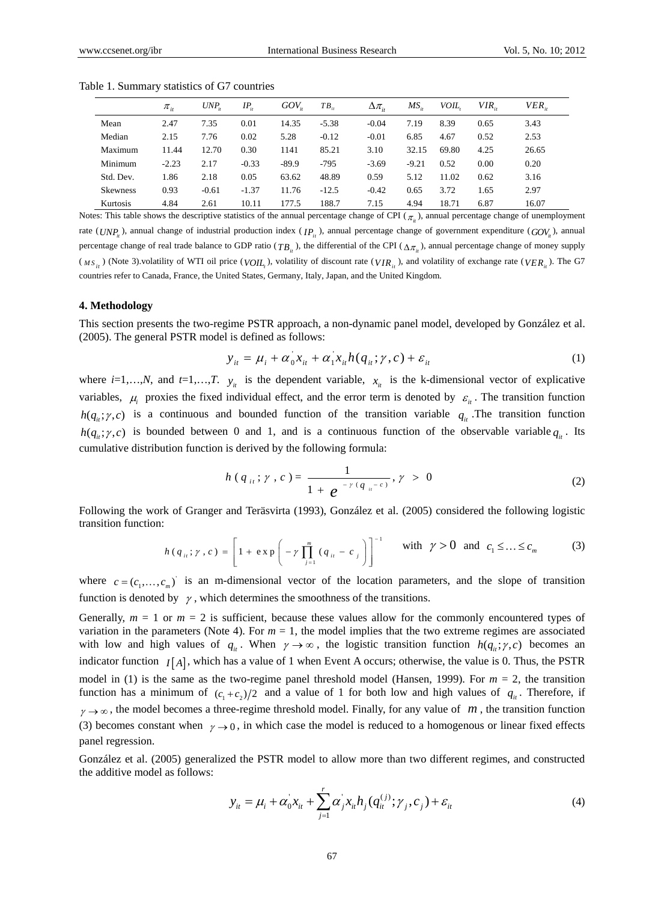|                 | $\pi_{\scriptscriptstyle i\bar{\scriptscriptstyle r}}$ | UNP <sub>n</sub> | $IP_{ii}$ | $GOV_{\alpha}$ | $TB_{ii}$ | $\Delta \pi_{ii}$ | $MS_{ii}$ | <i>VOIL</i> | $VIR_{\odot}$ | $VER_{\odot}$ |
|-----------------|--------------------------------------------------------|------------------|-----------|----------------|-----------|-------------------|-----------|-------------|---------------|---------------|
| Mean            | 2.47                                                   | 7.35             | 0.01      | 14.35          | $-5.38$   | $-0.04$           | 7.19      | 8.39        | 0.65          | 3.43          |
| Median          | 2.15                                                   | 7.76             | 0.02      | 5.28           | $-0.12$   | $-0.01$           | 6.85      | 4.67        | 0.52          | 2.53          |
| Maximum         | 11.44                                                  | 12.70            | 0.30      | 1141           | 85.21     | 3.10              | 32.15     | 69.80       | 4.25          | 26.65         |
| Minimum         | $-2.23$                                                | 2.17             | $-0.33$   | $-89.9$        | $-795$    | $-3.69$           | $-9.21$   | 0.52        | 0.00          | 0.20          |
| Std. Dev.       | 1.86                                                   | 2.18             | 0.05      | 63.62          | 48.89     | 0.59              | 5.12      | 11.02       | 0.62          | 3.16          |
| <b>Skewness</b> | 0.93                                                   | $-0.61$          | $-1.37$   | 11.76          | $-12.5$   | $-0.42$           | 0.65      | 3.72        | 1.65          | 2.97          |
| Kurtosis        | 4.84                                                   | 2.61             | 10.11     | 177.5          | 188.7     | 7.15              | 4.94      | 18.71       | 6.87          | 16.07         |

Table 1. Summary statistics of G7 countries

Notes: This table shows the descriptive statistics of the annual percentage change of CPI ( $\pi$ ), annual percentage change of unemployment rate ( $UNP$ ), annual change of industrial production index ( $IP$ ), annual percentage change of government expenditure ( $GOV$ ), annual percentage change of real trade balance to GDP ratio ( $TB_i$ ), the differential of the CPI ( $\Delta \pi_i$ ), annual percentage change of money supply  $(W_{M S_{it}})$  (Note 3).volatility of WTI oil price  $(V_{i}U_{t}$ ), volatility of discount rate  $(V_{i}R_{it})$ , and volatility of exchange rate  $(V_{i}ER_{it})$ . The G7 countries refer to Canada, France, the United States, Germany, Italy, Japan, and the United Kingdom.

#### **4. Methodology**

This section presents the two-regime PSTR approach, a non-dynamic panel model, developed by González et al. (2005). The general PSTR model is defined as follows:

$$
y_{it} = \mu_i + \alpha_0 x_{it} + \alpha_1 x_{it} h(q_{it}; \gamma, c) + \varepsilon_{it}
$$
 (1)

where  $i=1,...,N$ , and  $t=1,...,T$ .  $y_i$  is the dependent variable,  $x_i$  is the k-dimensional vector of explicative variables,  $\mu_i$  proxies the fixed individual effect, and the error term is denoted by  $\varepsilon_i$ . The transition function  $h(q_i;\gamma,c)$  is a continuous and bounded function of the transition variable  $q_i$ . The transition function  $h(q_{ii}; \gamma, c)$  is bounded between 0 and 1, and is a continuous function of the observable variable  $q_{ii}$ . Its cumulative distribution function is derived by the following formula:

$$
h(q_{ii}; \gamma, c) = \frac{1}{1 + e^{-\gamma (q_{ii} - c)}}, \gamma > 0
$$
 (2)

Following the work of Granger and Teräsvirta (1993), González et al. (2005) considered the following logistic transition function:

$$
h(q_{ii}; \gamma, c) = \left[1 + \exp\left(-\gamma \prod_{j=1}^{m} (q_{ii} - c_j)\right)\right]^{-1} \text{ with } \gamma > 0 \text{ and } c_1 \leq ... \leq c_m \tag{3}
$$

where  $c = (c_1, \ldots, c_m)$  is an m-dimensional vector of the location parameters, and the slope of transition function is denoted by  $\gamma$ , which determines the smoothness of the transitions.

Generally,  $m = 1$  or  $m = 2$  is sufficient, because these values allow for the commonly encountered types of variation in the parameters (Note 4). For  $m = 1$ , the model implies that the two extreme regimes are associated with low and high values of  $q_i$ . When  $\gamma \to \infty$ , the logistic transition function  $h(q_i;\gamma,c)$  becomes an indicator function  $I[A]$ , which has a value of 1 when Event A occurs; otherwise, the value is 0. Thus, the PSTR model in (1) is the same as the two-regime panel threshold model (Hansen, 1999). For  $m = 2$ , the transition function has a minimum of  $(c_1 + c_2)/2$  and a value of 1 for both low and high values of  $q_i$ . Therefore, if  $\gamma \rightarrow \infty$ , the model becomes a three-regime threshold model. Finally, for any value of *m*, the transition function (3) becomes constant when  $\gamma \rightarrow 0$ , in which case the model is reduced to a homogenous or linear fixed effects panel regression.

González et al. (2005) generalized the PSTR model to allow more than two different regimes, and constructed the additive model as follows:

$$
y_{it} = \mu_i + \alpha_0' x_{it} + \sum_{j=1}^r \alpha_j' x_{it} h_j(q_{it}^{(j)}; \gamma_j, c_j) + \varepsilon_{it}
$$
\n(4)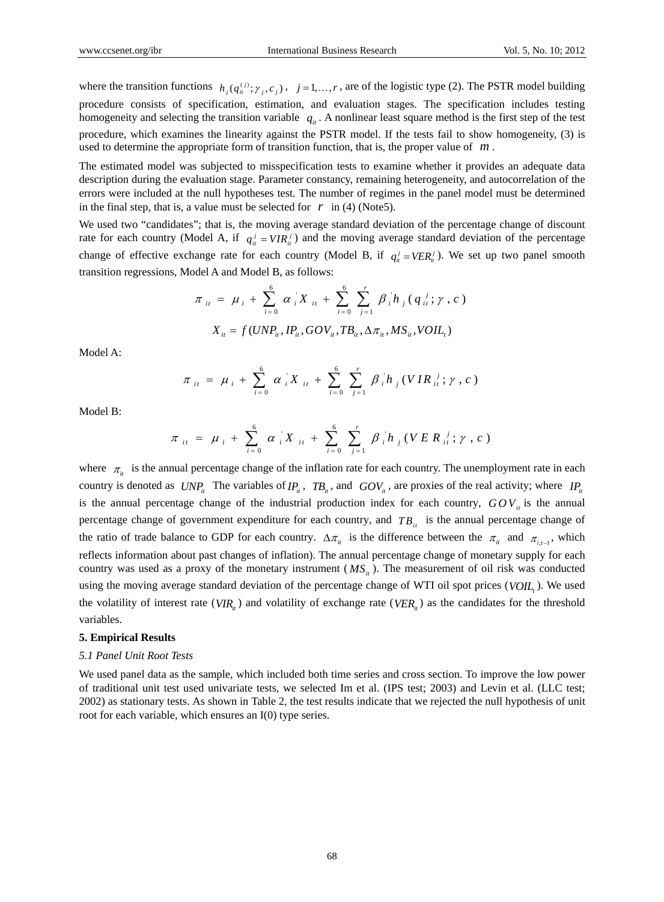where the transition functions  $h_j(q_i^{(j)}; \gamma_j, c_j)$ ,  $j = 1, ..., r$ , are of the logistic type (2). The PSTR model building procedure consists of specification, estimation, and evaluation stages. The specification includes testing homogeneity and selecting the transition variable  $q_{ij}$ . A nonlinear least square method is the first step of the test procedure, which examines the linearity against the PSTR model. If the tests fail to show homogeneity, (3) is used to determine the appropriate form of transition function, that is, the proper value of *m* .

The estimated model was subjected to misspecification tests to examine whether it provides an adequate data description during the evaluation stage. Parameter constancy, remaining heterogeneity, and autocorrelation of the errors were included at the null hypotheses test. The number of regimes in the panel model must be determined in the final step, that is, a value must be selected for  $r$  in (4) (Note5).

We used two "candidates"; that is, the moving average standard deviation of the percentage change of discount rate for each country (Model A, if  $q_{ii}^j = VIR_{ii}^j$ ) and the moving average standard deviation of the percentage change of effective exchange rate for each country (Model B, if  $q_i^j = VER_i^j$ ). We set up two panel smooth transition regressions, Model A and Model B, as follows:

$$
\pi_{it} = \mu_i + \sum_{i=0}^{6} \alpha_i X_{it} + \sum_{i=0}^{6} \sum_{j=1}^{r} \beta_i h_j (q_{it}^{j}; \gamma, c)
$$

$$
X_{it} = f(UNP_{it}, IP_{it}, GOV_{it}, TB_{it}, \Delta \pi_{it}, MS_{it}, VOIL_{t})
$$

Model A:

$$
\pi_{ii} = \mu_i + \sum_{i=0}^{6} \alpha_i X_{ii} + \sum_{i=0}^{6} \sum_{j=1}^{r} \beta_i h_j (VIR_{ii}^{j}; \gamma, c)
$$

Model B:

$$
\pi_{it} = \mu_i + \sum_{i=0}^{6} \alpha_i X_{it} + \sum_{i=0}^{6} \sum_{j=1}^{r} \beta_i h_j (VER_{it}^{j}; \gamma, c)
$$

where  $\pi_{i}$  is the annual percentage change of the inflation rate for each country. The unemployment rate in each country is denoted as  $UNP_{it}$  The variables of  $IP_{it}$ ,  $TB_{it}$ , and  $GOV_{it}$ , are proxies of the real activity; where  $IP_{it}$ is the annual percentage change of the industrial production index for each country,  $GOV_i$  is the annual percentage change of government expenditure for each country, and  $TB_{it}$  is the annual percentage change of the ratio of trade balance to GDP for each country.  $\Delta \pi_{ii}$  is the difference between the  $\pi_{ii}$  and  $\pi_{ii}$ , which reflects information about past changes of inflation). The annual percentage change of monetary supply for each country was used as a proxy of the monetary instrument ( $MS<sub>i</sub>$ ). The measurement of oil risk was conducted using the moving average standard deviation of the percentage change of WTI oil spot prices (*VOIL*). We used the volatility of interest rate ( $VIR_i$ ) and volatility of exchange rate ( $VER_i$ ) as the candidates for the threshold variables.

## **5. Empirical Results**

# *5.1 Panel Unit Root Tests*

We used panel data as the sample, which included both time series and cross section. To improve the low power of traditional unit test used univariate tests, we selected Im et al. (IPS test; 2003) and Levin et al. (LLC test; 2002) as stationary tests. As shown in Table 2, the test results indicate that we rejected the null hypothesis of unit root for each variable, which ensures an I(0) type series.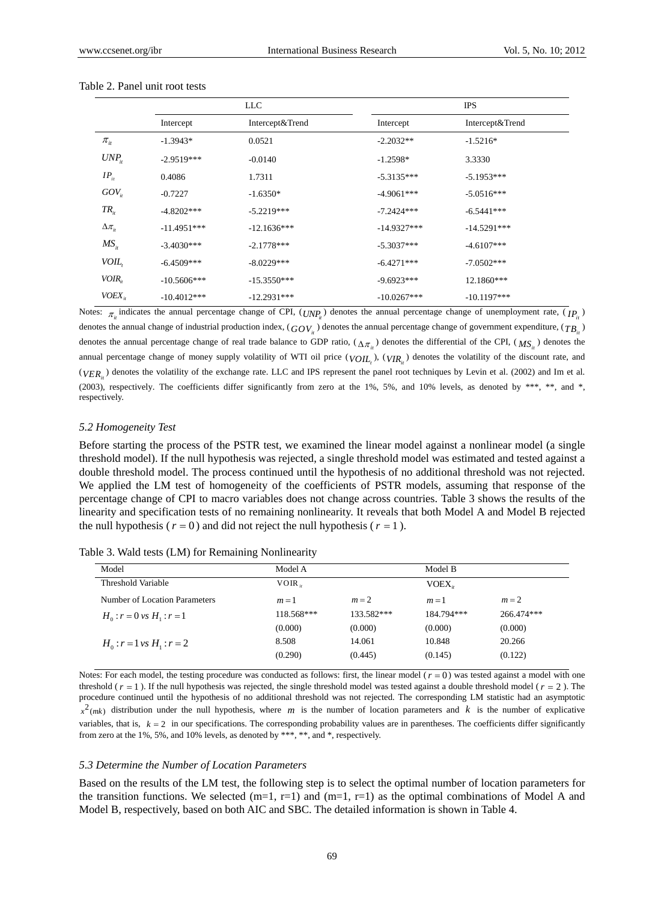|                   | LLC           |                 |               | <b>IPS</b>      |
|-------------------|---------------|-----------------|---------------|-----------------|
|                   | Intercept     | Intercept&Trend | Intercept     | Intercept&Trend |
| $\pi_{it}$        | $-1.3943*$    | 0.0521          | $-2.2032**$   | $-1.5216*$      |
| $UNP_{i}$         | $-2.9519***$  | $-0.0140$       | $-1.2598*$    | 3.3330          |
| $IP_{ii}$         | 0.4086        | 1.7311          | $-5.3135***$  | $-5.1953***$    |
| $GOV_{it}$        | $-0.7227$     | $-1.6350*$      | $-4.9061***$  | $-5.0516***$    |
| $TR_{ii}$         | $-4.8202***$  | $-5.2219***$    | $-7.2424***$  | $-6.5441***$    |
| $\Delta \pi_{ii}$ | $-11.4951***$ | $-12.1636***$   | $-14.9327***$ | $-14.5291***$   |
| $MS_{ii}$         | $-3.4030***$  | $-2.1778***$    | $-5.3037***$  | $-4.6107***$    |
| VOIL,             | $-6.4509***$  | $-8.0229***$    | $-6.4271***$  | $-7.0502***$    |
| $VOIR_{ii}$       | $-10.5606***$ | $-15.3550***$   | $-9.6923***$  | 12.1860***      |
| $VOEX_{it}$       | $-10.4012***$ | $-12.2931***$   | $-10.0267***$ | $-10.1197***$   |

#### Table 2. Panel unit root tests

Notes:  $\pi_i$  indicates the annual percentage change of CPI, ( $UNP_i$ ) denotes the annual percentage change of unemployment rate, ( $IP_i$ ) denotes the annual change of industrial production index,  $(GOV)$  denotes the annual percentage change of government expenditure,  $(TB)$ denotes the annual percentage change of real trade balance to GDP ratio,  $(\Delta \pi_{i})$  denotes the differential of the CPI,  $(MS_{i})$  denotes the annual percentage change of money supply volatility of WTI oil price  $(VOII_{\tau})$ ,  $(VIR_{ii})$  denotes the volatility of the discount rate, and  $(VFR<sub>l</sub>)$  denotes the volatility of the exchange rate. LLC and IPS represent the panel root techniques by Levin et al. (2002) and Im et al. (2003), respectively. The coefficients differ significantly from zero at the 1%, 5%, and 10% levels, as denoted by \*\*\*, \*\*, and \*, respectively.

## *5.2 Homogeneity Test*

Before starting the process of the PSTR test, we examined the linear model against a nonlinear model (a single threshold model). If the null hypothesis was rejected, a single threshold model was estimated and tested against a double threshold model. The process continued until the hypothesis of no additional threshold was not rejected. We applied the LM test of homogeneity of the coefficients of PSTR models, assuming that response of the percentage change of CPI to macro variables does not change across countries. Table 3 shows the results of the linearity and specification tests of no remaining nonlinearity. It reveals that both Model A and Model B rejected the null hypothesis ( $r = 0$ ) and did not reject the null hypothesis ( $r = 1$ ).

| Table 3. Wald tests (LM) for Remaining Nonlinearity |  |  |  |  |
|-----------------------------------------------------|--|--|--|--|
|                                                     |  |  |  |  |

| Model                         | Model A        |            | Model B    |            |
|-------------------------------|----------------|------------|------------|------------|
| Threshold Variable            | $VOIR_{\odot}$ |            | VOEX.      |            |
| Number of Location Parameters | $m=1$          | $m=2$      | $m=1$      | $m=2$      |
| $H_0: r = 0$ vs $H_1: r = 1$  | 118.568***     | 133.582*** | 184.794*** | 266.474*** |
|                               | (0.000)        | (0.000)    | (0.000)    | (0.000)    |
| $H_0: r = 1$ vs $H_1: r = 2$  | 8.508          | 14.061     | 10.848     | 20.266     |
|                               | (0.290)        | (0.445)    | (0.145)    | (0.122)    |

Notes: For each model, the testing procedure was conducted as follows: first, the linear model  $(r = 0)$  was tested against a model with one threshold ( $r = 1$ ). If the null hypothesis was rejected, the single threshold model was tested against a double threshold model ( $r = 2$ ). The procedure continued until the hypothesis of no additional threshold was not rejected. The corresponding LM statistic had an asymptotic  $x^2$ <sub>(mk)</sub> distribution under the null hypothesis, where *m* is the number of location parameters and *k* is the number of explicative variables, that is,  $k = 2$  in our specifications. The corresponding probability values are in parentheses. The coefficients differ significantly from zero at the 1%, 5%, and 10% levels, as denoted by \*\*\*, \*\*, and \*, respectively.

#### *5.3 Determine the Number of Location Parameters*

Based on the results of the LM test, the following step is to select the optimal number of location parameters for the transition functions. We selected (m=1, r=1) and (m=1, r=1) as the optimal combinations of Model A and Model B, respectively, based on both AIC and SBC. The detailed information is shown in Table 4.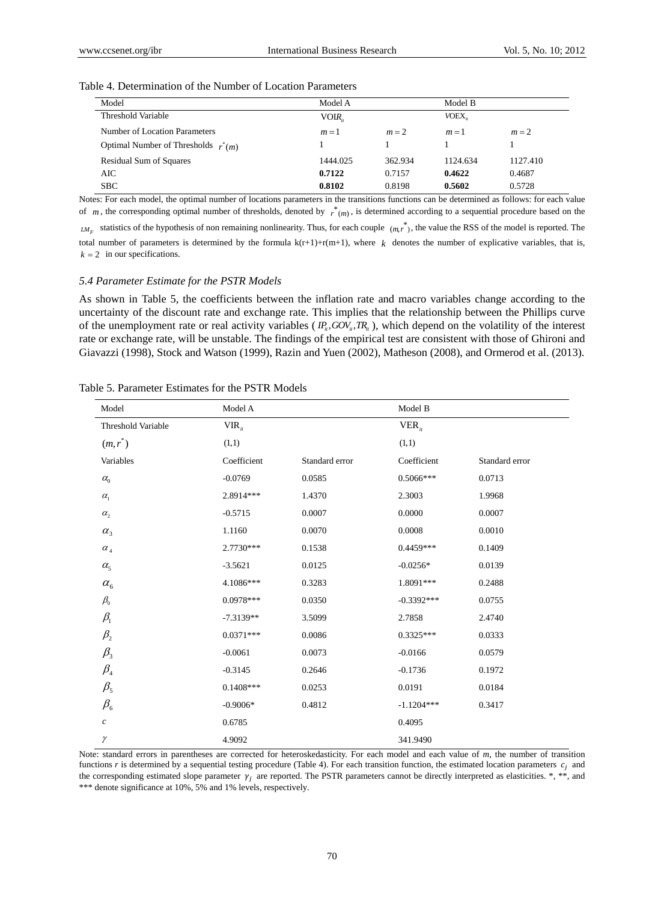| Model                                 | Model A  |         | Model B                                |          |
|---------------------------------------|----------|---------|----------------------------------------|----------|
| Threshold Variable                    | VOIR.    |         | $V$ OEX <sub><math>\alpha</math></sub> |          |
| Number of Location Parameters         | $m=1$    | $m=2$   | $m=1$                                  | $m=2$    |
| Optimal Number of Thresholds $r^*(m)$ |          |         |                                        |          |
| <b>Residual Sum of Squares</b>        | 1444.025 | 362.934 | 1124.634                               | 1127.410 |
| AIC                                   | 0.7122   | 0.7157  | 0.4622                                 | 0.4687   |
| <b>SBC</b>                            | 0.8102   | 0.8198  | 0.5602                                 | 0.5728   |

Notes: For each model, the optimal number of locations parameters in the transitions functions can be determined as follows: for each value of  $m$ , the corresponding optimal number of thresholds, denoted by  $r^*(m)$ , is determined according to a sequential procedure based on the

 $LM_F$  statistics of the hypothesis of non remaining nonlinearity. Thus, for each couple  $(m,r^*)$ , the value the RSS of the model is reported. The total number of parameters is determined by the formula  $k(r+1)+r(m+1)$ , where  $k$  denotes the number of explicative variables, that is,  $k = 2$  in our specifications.

#### *5.4 Parameter Estimate for the PSTR Models*

As shown in Table 5, the coefficients between the inflation rate and macro variables change according to the uncertainty of the discount rate and exchange rate. This implies that the relationship between the Phillips curve of the unemployment rate or real activity variables ( $I_n^P$ ,  $GOV_n$ ,  $TR_n$ ), which depend on the volatility of the interest rate or exchange rate, will be unstable. The findings of the empirical test are consistent with those of Ghironi and Giavazzi (1998), Stock and Watson (1999), Razin and Yuen (2002), Matheson (2008), and Ormerod et al. (2013).

| Model                           | Model A     |                | Model B      |                |
|---------------------------------|-------------|----------------|--------------|----------------|
| Threshold Variable              | $VIR_{ii}$  |                | $VER_{it}$   |                |
| $(m,r^*)$                       | (1,1)       |                | (1,1)        |                |
| Variables                       | Coefficient | Standard error | Coefficient  | Standard error |
| $\alpha_{0}$                    | $-0.0769$   | 0.0585         | $0.5066***$  | 0.0713         |
| $\alpha_{1}$                    | 2.8914 ***  | 1.4370         | 2.3003       | 1.9968         |
| $\alpha_{2}$                    | $-0.5715$   | 0.0007         | 0.0000       | 0.0007         |
| $\alpha_{3}$                    | 1.1160      | 0.0070         | 0.0008       | 0.0010         |
| $\alpha_{\scriptscriptstyle 4}$ | 2.7730***   | 0.1538         | $0.4459***$  | 0.1409         |
| $\alpha_{5}$                    | $-3.5621$   | 0.0125         | $-0.0256*$   | 0.0139         |
| $\alpha_{\scriptscriptstyle 6}$ | 4.1086***   | 0.3283         | 1.8091***    | 0.2488         |
| $\beta_{\scriptscriptstyle 0}$  | $0.0978***$ | 0.0350         | $-0.3392***$ | 0.0755         |
| $\beta_{\rm l}$                 | $-7.3139**$ | 3.5099         | 2.7858       | 2.4740         |
| $\beta_{2}$                     | $0.0371***$ | 0.0086         | $0.3325***$  | 0.0333         |
| $\beta_{3}$                     | $-0.0061$   | 0.0073         | $-0.0166$    | 0.0579         |
| $\beta_{\scriptscriptstyle 4}$  | $-0.3145$   | 0.2646         | $-0.1736$    | 0.1972         |
| $\beta_{\rm 5}$                 | $0.1408***$ | 0.0253         | 0.0191       | 0.0184         |
| $\beta_{\scriptscriptstyle 6}$  | $-0.9006*$  | 0.4812         | $-1.1204***$ | 0.3417         |
| $\boldsymbol{c}$                | 0.6785      |                | 0.4095       |                |
| $\gamma$                        | 4.9092      |                | 341.9490     |                |

Table 5. Parameter Estimates for the PSTR Models

Note: standard errors in parentheses are corrected for heteroskedasticity. For each model and each value of *m*, the number of transition functions  $r$  is determined by a sequential testing procedure (Table 4). For each transition function, the estimated location parameters  $c_i$  and the corresponding estimated slope parameter  $\gamma_i$  are reported. The PSTR parameters cannot be directly interpreted as elasticities. \*, \*\*, and \*\*\* denote significance at 10%, 5% and 1% levels, respectively.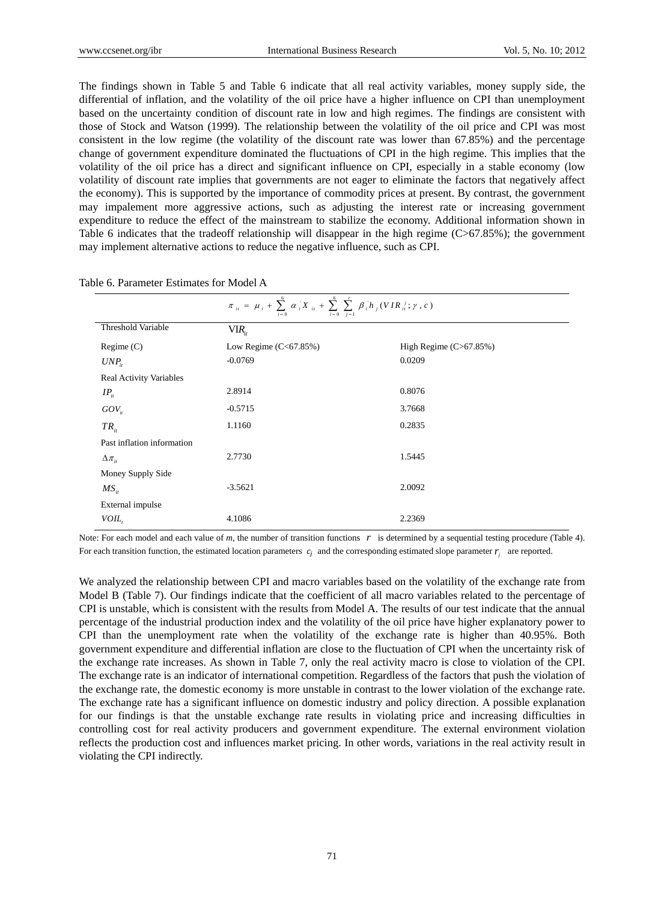The findings shown in Table 5 and Table 6 indicate that all real activity variables, money supply side, the differential of inflation, and the volatility of the oil price have a higher influence on CPI than unemployment based on the uncertainty condition of discount rate in low and high regimes. The findings are consistent with those of Stock and Watson (1999). The relationship between the volatility of the oil price and CPI was most consistent in the low regime (the volatility of the discount rate was lower than 67.85%) and the percentage change of government expenditure dominated the fluctuations of CPI in the high regime. This implies that the volatility of the oil price has a direct and significant influence on CPI, especially in a stable economy (low volatility of discount rate implies that governments are not eager to eliminate the factors that negatively affect the economy). This is supported by the importance of commodity prices at present. By contrast, the government may impalement more aggressive actions, such as adjusting the interest rate or increasing government expenditure to reduce the effect of the mainstream to stabilize the economy. Additional information shown in Table 6 indicates that the tradeoff relationship will disappear in the high regime (C>67.85%); the government may implement alternative actions to reduce the negative influence, such as CPI.

|                                | $\pi_{i t} = \mu_{i} + \sum_{i=0}^{6} \alpha_{i} X_{i t} + \sum_{i=0}^{6} \sum_{j=1}^{r} \beta_{i} h_{j} (V I R_{i t}^{j}; \gamma, c)$ |                          |  |  |  |
|--------------------------------|----------------------------------------------------------------------------------------------------------------------------------------|--------------------------|--|--|--|
| Threshold Variable             | $VIR_{ii}$                                                                                                                             |                          |  |  |  |
| Regime(C)                      | Low Regime $(C<67.85\%)$                                                                                                               | High Regime $(C>67.85%)$ |  |  |  |
| $UNP_{it}$                     | $-0.0769$                                                                                                                              | 0.0209                   |  |  |  |
| <b>Real Activity Variables</b> |                                                                                                                                        |                          |  |  |  |
| $IP_{ii}$                      | 2.8914                                                                                                                                 | 0.8076                   |  |  |  |
| $GOV_{ii}$                     | $-0.5715$                                                                                                                              | 3.7668                   |  |  |  |
| $TR_{ii}$                      | 1.1160                                                                                                                                 | 0.2835                   |  |  |  |
| Past inflation information     |                                                                                                                                        |                          |  |  |  |
| $\Delta \pi_{ii}$              | 2.7730                                                                                                                                 | 1.5445                   |  |  |  |
| Money Supply Side              |                                                                                                                                        |                          |  |  |  |
| $MS_{ii}$                      | $-3.5621$                                                                                                                              | 2.0092                   |  |  |  |
| External impulse               |                                                                                                                                        |                          |  |  |  |
| VOIL,                          | 4.1086                                                                                                                                 | 2.2369                   |  |  |  |

Table 6. Parameter Estimates for Model A

Note: For each model and each value of *m*, the number of transition functions *r* is determined by a sequential testing procedure (Table 4). For each transition function, the estimated location parameters  $c_i$  and the corresponding estimated slope parameter  $r_i$  are reported.

We analyzed the relationship between CPI and macro variables based on the volatility of the exchange rate from Model B (Table 7). Our findings indicate that the coefficient of all macro variables related to the percentage of CPI is unstable, which is consistent with the results from Model A. The results of our test indicate that the annual percentage of the industrial production index and the volatility of the oil price have higher explanatory power to CPI than the unemployment rate when the volatility of the exchange rate is higher than 40.95%. Both government expenditure and differential inflation are close to the fluctuation of CPI when the uncertainty risk of the exchange rate increases. As shown in Table 7, only the real activity macro is close to violation of the CPI. The exchange rate is an indicator of international competition. Regardless of the factors that push the violation of the exchange rate, the domestic economy is more unstable in contrast to the lower violation of the exchange rate. The exchange rate has a significant influence on domestic industry and policy direction. A possible explanation for our findings is that the unstable exchange rate results in violating price and increasing difficulties in controlling cost for real activity producers and government expenditure. The external environment violation reflects the production cost and influences market pricing. In other words, variations in the real activity result in violating the CPI indirectly.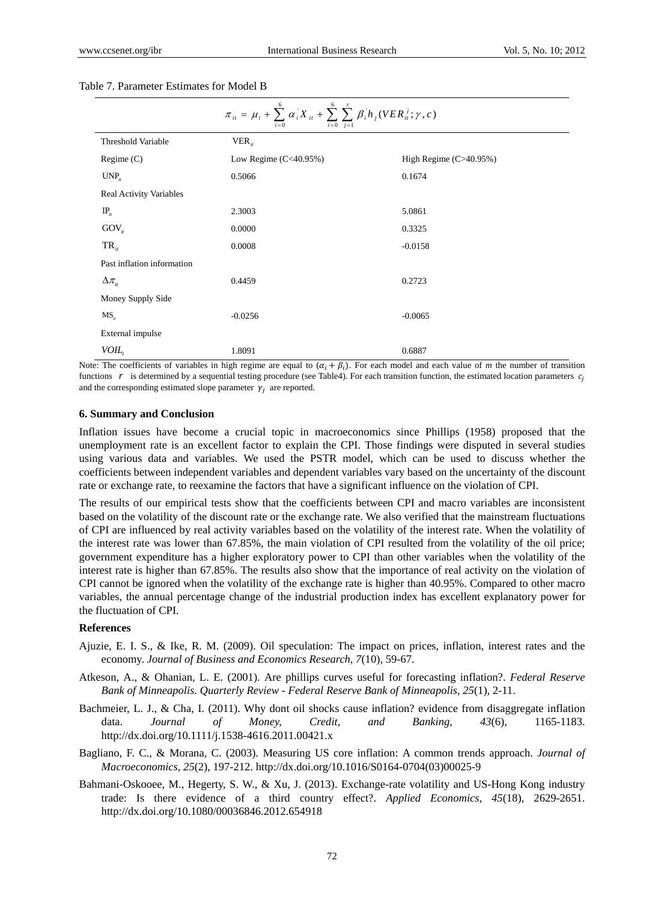| $\pi_{ii} = \mu_i + \sum_{i=0}^{6} \alpha_i X_{ii} + \sum_{i=0}^{6} \sum_{j=1}^{r} \beta_i h_j (VER_{ii}^j; \gamma, c)$ |                          |                        |  |  |  |
|-------------------------------------------------------------------------------------------------------------------------|--------------------------|------------------------|--|--|--|
| Threshold Variable                                                                                                      | $VER_{n}$                |                        |  |  |  |
| Regime(C)                                                                                                               | Low Regime $(C<40.95\%)$ | High Regime (C>40.95%) |  |  |  |
| UNP <sub>n</sub>                                                                                                        | 0.5066                   | 0.1674                 |  |  |  |
| <b>Real Activity Variables</b>                                                                                          |                          |                        |  |  |  |
| $IP_{ii}$                                                                                                               | 2.3003                   | 5.0861                 |  |  |  |
| $\text{GOV}_{it}$                                                                                                       | 0.0000                   | 0.3325                 |  |  |  |
| $TR_{ii}$                                                                                                               | 0.0008                   | $-0.0158$              |  |  |  |
| Past inflation information                                                                                              |                          |                        |  |  |  |
| $\Delta \pi_{ii}$                                                                                                       | 0.4459                   | 0.2723                 |  |  |  |
| Money Supply Side                                                                                                       |                          |                        |  |  |  |
| $MS_{ii}$                                                                                                               | $-0.0256$                | $-0.0065$              |  |  |  |
| External impulse                                                                                                        |                          |                        |  |  |  |
| VOIL.                                                                                                                   | 1.8091                   | 0.6887                 |  |  |  |

## Table 7. Parameter Estimates for Model B

Note: The coefficients of variables in high regime are equal to  $(\alpha_i + \beta_i)$ . For each model and each value of *m* the number of transition functions  $r$  is determined by a sequential testing procedure (see Table4). For each transition function, the estimated location parameters  $c_i$ and the corresponding estimated slope parameter  $\gamma_i$  are reported.

#### **6. Summary and Conclusion**

Inflation issues have become a crucial topic in macroeconomics since Phillips (1958) proposed that the unemployment rate is an excellent factor to explain the CPI. Those findings were disputed in several studies using various data and variables. We used the PSTR model, which can be used to discuss whether the coefficients between independent variables and dependent variables vary based on the uncertainty of the discount rate or exchange rate, to reexamine the factors that have a significant influence on the violation of CPI.

The results of our empirical tests show that the coefficients between CPI and macro variables are inconsistent based on the volatility of the discount rate or the exchange rate. We also verified that the mainstream fluctuations of CPI are influenced by real activity variables based on the volatility of the interest rate. When the volatility of the interest rate was lower than 67.85%, the main violation of CPI resulted from the volatility of the oil price; government expenditure has a higher exploratory power to CPI than other variables when the volatility of the interest rate is higher than 67.85%. The results also show that the importance of real activity on the violation of CPI cannot be ignored when the volatility of the exchange rate is higher than 40.95%. Compared to other macro variables, the annual percentage change of the industrial production index has excellent explanatory power for the fluctuation of CPI.

# **References**

- Ajuzie, E. I. S., & Ike, R. M. (2009). Oil speculation: The impact on prices, inflation, interest rates and the economy. *Journal of Business and Economics Research*, *7*(10), 59-67.
- Atkeson, A., & Ohanian, L. E. (2001). Are phillips curves useful for forecasting inflation?. *Federal Reserve Bank of Minneapolis. Quarterly Review - Federal Reserve Bank of Minneapolis, 25*(1), 2-11.
- Bachmeier, L. J., & Cha, I. (2011). Why dont oil shocks cause inflation? evidence from disaggregate inflation data. *Journal of Money, Credit, and Banking*, *43*(6), 1165-1183. http://dx.doi.org/10.1111/j.1538-4616.2011.00421.x
- Bagliano, F. C., & Morana, C. (2003). Measuring US core inflation: A common trends approach. *Journal of Macroeconomics*, *25*(2), 197-212. http://dx.doi.org/10.1016/S0164-0704(03)00025-9
- Bahmani-Oskooee, M., Hegerty, S. W., & Xu, J. (2013). Exchange-rate volatility and US-Hong Kong industry trade: Is there evidence of a third country effect?. *Applied Economics*, *45*(18), 2629-2651. http://dx.doi.org/10.1080/00036846.2012.654918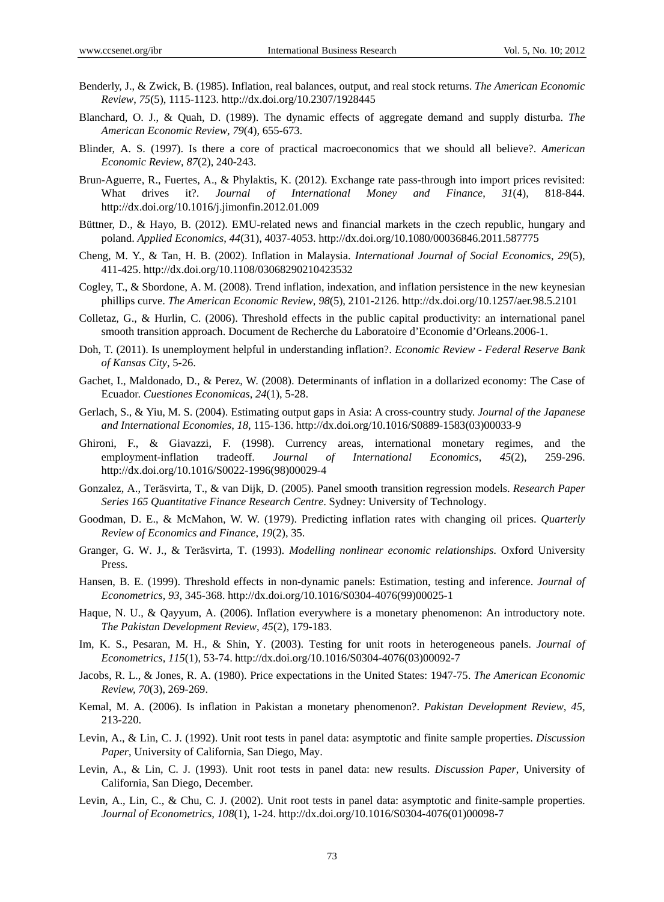- Benderly, J., & Zwick, B. (1985). Inflation, real balances, output, and real stock returns. *The American Economic Review*, *75*(5), 1115-1123. http://dx.doi.org/10.2307/1928445
- Blanchard, O. J., & Quah, D. (1989). The dynamic effects of aggregate demand and supply disturba. *The American Economic Review*, *79*(4), 655-673.
- Blinder, A. S. (1997). Is there a core of practical macroeconomics that we should all believe?. *American Economic Review*, *87*(2), 240-243.
- Brun-Aguerre, R., Fuertes, A., & Phylaktis, K. (2012). Exchange rate pass-through into import prices revisited: What drives it?. *Journal of International Money and Finance*, *31*(4), 818-844. http://dx.doi.org/10.1016/j.jimonfin.2012.01.009
- Büttner, D., & Hayo, B. (2012). EMU-related news and financial markets in the czech republic, hungary and poland. *Applied Economics*, *44*(31), 4037-4053. http://dx.doi.org/10.1080/00036846.2011.587775
- Cheng, M. Y., & Tan, H. B. (2002). Inflation in Malaysia. *International Journal of Social Economics*, *29*(5), 411-425. http://dx.doi.org/10.1108/03068290210423532
- Cogley, T., & Sbordone, A. M. (2008). Trend inflation, indexation, and inflation persistence in the new keynesian phillips curve. *The American Economic Review*, *98*(5), 2101-2126. http://dx.doi.org/10.1257/aer.98.5.2101
- Colletaz, G., & Hurlin, C. (2006). Threshold effects in the public capital productivity: an international panel smooth transition approach. Document de Recherche du Laboratoire d'Economie d'Orleans.2006-1.
- Doh, T. (2011). Is unemployment helpful in understanding inflation?. *Economic Review Federal Reserve Bank of Kansas City*, 5-26.
- Gachet, I., Maldonado, D., & Perez, W. (2008). Determinants of inflation in a dollarized economy: The Case of Ecuador. *Cuestiones Economicas*, *24*(1), 5-28.
- Gerlach, S., & Yiu, M. S. (2004). Estimating output gaps in Asia: A cross-country study. *Journal of the Japanese and International Economies*, *18*, 115-136. http://dx.doi.org/10.1016/S0889-1583(03)00033-9
- Ghironi, F., & Giavazzi, F. (1998). Currency areas, international monetary regimes, and the employment-inflation tradeoff. *Journal of International Economics*, *45*(2), 259-296. http://dx.doi.org/10.1016/S0022-1996(98)00029-4
- Gonzalez, A., Teräsvirta, T., & van Dijk, D. (2005). Panel smooth transition regression models. *Research Paper Series 165 Quantitative Finance Research Centre*. Sydney: University of Technology.
- Goodman, D. E., & McMahon, W. W. (1979). Predicting inflation rates with changing oil prices. *Quarterly Review of Economics and Finance*, *19*(2), 35.
- Granger, G. W. J., & Teräsvirta, T. (1993). *Modelling nonlinear economic relationships*. Oxford University Press.
- Hansen, B. E. (1999). Threshold effects in non-dynamic panels: Estimation, testing and inference. *Journal of Econometrics*, *93*, 345-368. http://dx.doi.org/10.1016/S0304-4076(99)00025-1
- Haque, N. U., & Qayyum, A. (2006). Inflation everywhere is a monetary phenomenon: An introductory note. *The Pakistan Development Review*, *45*(2), 179-183.
- Im, K. S., Pesaran, M. H., & Shin, Y. (2003). Testing for unit roots in heterogeneous panels. *Journal of Econometrics, 115*(1), 53-74. http://dx.doi.org/10.1016/S0304-4076(03)00092-7
- Jacobs, R. L., & Jones, R. A. (1980). Price expectations in the United States: 1947-75. *The American Economic Review, 70*(3), 269-269.
- Kemal, M. A. (2006). Is inflation in Pakistan a monetary phenomenon?. *Pakistan Development Review*, *45*, 213-220.
- Levin, A., & Lin, C. J. (1992). Unit root tests in panel data: asymptotic and finite sample properties. *Discussion Paper*, University of California, San Diego, May.
- Levin, A., & Lin, C. J. (1993). Unit root tests in panel data: new results. *Discussion Paper*, University of California, San Diego, December.
- Levin, A., Lin, C., & Chu, C. J. (2002). Unit root tests in panel data: asymptotic and finite-sample properties. *Journal of Econometrics, 108*(1), 1-24. http://dx.doi.org/10.1016/S0304-4076(01)00098-7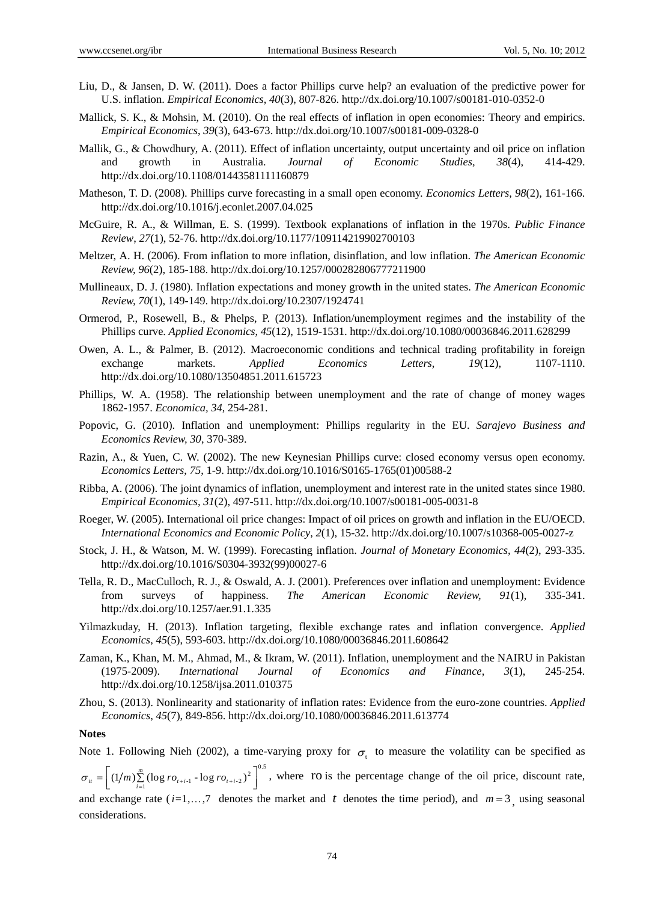- Liu, D., & Jansen, D. W. (2011). Does a factor Phillips curve help? an evaluation of the predictive power for U.S. inflation. *Empirical Economics, 40*(3), 807-826. http://dx.doi.org/10.1007/s00181-010-0352-0
- Mallick, S. K., & Mohsin, M. (2010). On the real effects of inflation in open economies: Theory and empirics. *Empirical Economics*, *39*(3), 643-673. http://dx.doi.org/10.1007/s00181-009-0328-0
- Mallik, G., & Chowdhury, A. (2011). Effect of inflation uncertainty, output uncertainty and oil price on inflation and growth in Australia. *Journal of Economic Studies, 38*(4), 414-429. http://dx.doi.org/10.1108/01443581111160879
- Matheson, T. D. (2008). Phillips curve forecasting in a small open economy. *Economics Letters*, *98*(2), 161-166. http://dx.doi.org/10.1016/j.econlet.2007.04.025
- McGuire, R. A., & Willman, E. S. (1999). Textbook explanations of inflation in the 1970s. *Public Finance Review*, *27*(1), 52-76. http://dx.doi.org/10.1177/109114219902700103
- Meltzer, A. H. (2006). From inflation to more inflation, disinflation, and low inflation. *The American Economic Review, 96*(2), 185-188. http://dx.doi.org/10.1257/000282806777211900
- Mullineaux, D. J. (1980). Inflation expectations and money growth in the united states. *The American Economic Review, 70*(1), 149-149. http://dx.doi.org/10.2307/1924741
- Ormerod, P., Rosewell, B., & Phelps, P. (2013). Inflation/unemployment regimes and the instability of the Phillips curve. *Applied Economics*, *45*(12), 1519-1531. http://dx.doi.org/10.1080/00036846.2011.628299
- Owen, A. L., & Palmer, B. (2012). Macroeconomic conditions and technical trading profitability in foreign exchange markets. *Applied Economics Letters*, *19*(12), 1107-1110. http://dx.doi.org/10.1080/13504851.2011.615723
- Phillips, W. A. (1958). The relationship between unemployment and the rate of change of money wages 1862-1957. *Economica, 34*, 254-281.
- Popovic, G. (2010). Inflation and unemployment: Phillips regularity in the EU. *Sarajevo Business and Economics Review, 30*, 370-389.
- Razin, A., & Yuen, C. W. (2002). The new Keynesian Phillips curve: closed economy versus open economy. *Economics Letters*, *75*, 1-9. http://dx.doi.org/10.1016/S0165-1765(01)00588-2
- Ribba, A. (2006). The joint dynamics of inflation, unemployment and interest rate in the united states since 1980. *Empirical Economics, 31*(2), 497-511. http://dx.doi.org/10.1007/s00181-005-0031-8
- Roeger, W. (2005). International oil price changes: Impact of oil prices on growth and inflation in the EU/OECD. *International Economics and Economic Policy*, *2*(1), 15-32. http://dx.doi.org/10.1007/s10368-005-0027-z
- Stock, J. H., & Watson, M. W. (1999). Forecasting inflation. *Journal of Monetary Economics, 44*(2), 293-335. http://dx.doi.org/10.1016/S0304-3932(99)00027-6
- Tella, R. D., MacCulloch, R. J., & Oswald, A. J. (2001). Preferences over inflation and unemployment: Evidence from surveys of happiness. *The American Economic Review, 91*(1), 335-341. http://dx.doi.org/10.1257/aer.91.1.335
- Yilmazkuday, H. (2013). Inflation targeting, flexible exchange rates and inflation convergence. *Applied Economics*, *45*(5), 593-603. http://dx.doi.org/10.1080/00036846.2011.608642
- Zaman, K., Khan, M. M., Ahmad, M., & Ikram, W. (2011). Inflation, unemployment and the NAIRU in Pakistan (1975-2009). *International Journal of Economics and Finance*, *3*(1), 245-254. http://dx.doi.org/10.1258/ijsa.2011.010375
- Zhou, S. (2013). Nonlinearity and stationarity of inflation rates: Evidence from the euro-zone countries. *Applied Economics*, *45*(7), 849-856. http://dx.doi.org/10.1080/00036846.2011.613774

## **Notes**

Note 1. Following Nieh (2002), a time-varying proxy for  $\sigma_t$  to measure the volatility can be specified as  $=\left[\left(1/m\right)\sum_{i=1}^{m} \left(\log ro_{i+i-1} - \log ro_{i+i-2}\right)^2\right]^{0.5}$  $\sigma_{ii} = \left[ (1/m) \sum_{i=1}^{m} (\log r \sigma_{i+i-1} - \log r \sigma_{i+i-2})^2 \right]$ , where **ro** is the percentage change of the oil price, discount rate, and exchange rate  $(i=1,...,7)$  denotes the market and *t* denotes the time period), and  $m=3$ , using seasonal considerations.